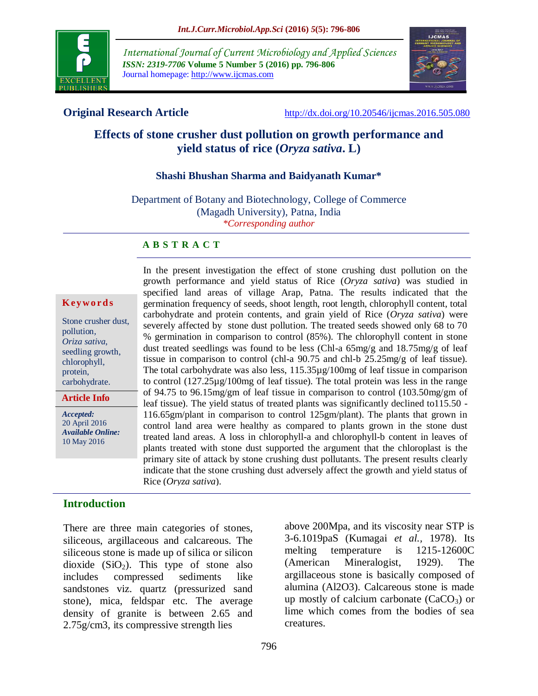

*International Journal of Current Microbiology and Applied Sciences ISSN: 2319-7706* **Volume 5 Number 5 (2016) pp. 796-806** Journal homepage: http://www.ijcmas.com



**Original Research Article** <http://dx.doi.org/10.20546/ijcmas.2016.505.080>

# **Effects of stone crusher dust pollution on growth performance and yield status of rice (***Oryza sativa***. L)**

## **Shashi Bhushan Sharma and Baidyanath Kumar\***

Department of Botany and Biotechnology, College of Commerce (Magadh University), Patna, India *\*Corresponding author*

## **A B S T R A C T**

### **K ey w o rd s**

Stone crusher dust, pollution*, Oriza sativa*, seedling growth, chlorophyll, protein, carbohydrate.

**Article Info**

*Accepted:*  20 April 2016 *Available Online:* 10 May 2016

In the present investigation the effect of stone crushing dust pollution on the growth performance and yield status of Rice (*Oryza sativa*) was studied in specified land areas of village Arap, Patna. The results indicated that the germination frequency of seeds, shoot length, root length, chlorophyll content, total carbohydrate and protein contents, and grain yield of Rice (*Oryza sativa*) were severely affected by stone dust pollution. The treated seeds showed only 68 to 70 % germination in comparison to control (85%). The chlorophyll content in stone dust treated seedlings was found to be less (Chl-a 65mg/g and 18.75mg/g of leaf tissue in comparison to control (chl-a 90.75 and chl-b 25.25mg/g of leaf tissue). The total carbohydrate was also less, 115.35µg/100mg of leaf tissue in comparison to control (127.25µg/100mg of leaf tissue). The total protein was less in the range of 94.75 to 96.15mg/gm of leaf tissue in comparison to control (103.50mg/gm of leaf tissue). The yield status of treated plants was significantly declined to115.50 - 116.65gm/plant in comparison to control 125gm/plant). The plants that grown in control land area were healthy as compared to plants grown in the stone dust treated land areas. A loss in chlorophyll-a and chlorophyll-b content in leaves of plants treated with stone dust supported the argument that the chloroplast is the primary site of attack by stone crushing dust pollutants. The present results clearly indicate that the stone crushing dust adversely affect the growth and yield status of Rice (*Oryza sativa*).

## **Introduction**

There are three main categories of stones, siliceous, argillaceous and calcareous. The siliceous stone is made up of silica or silicon dioxide  $(SiO<sub>2</sub>)$ . This type of stone also includes compressed sediments like sandstones viz. quartz (pressurized sand stone), mica, feldspar etc. The average density of granite is between 2.65 and 2.75g/cm3, its compressive strength lies

above 200Mpa, and its viscosity near STP is 3-6.1019paS (Kumagai *et al.,* 1978). Its melting temperature is 1215-12600C (American Mineralogist, 1929). The argillaceous stone is basically composed of alumina (Al2O3). Calcareous stone is made up mostly of calcium carbonate  $(CaCO<sub>3</sub>)$  or lime which comes from the bodies of sea creatures.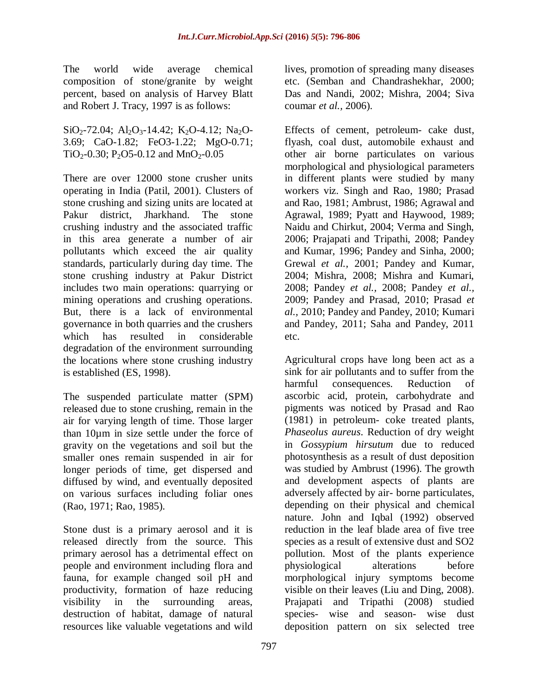The world wide average chemical composition of stone/granite by weight percent, based on analysis of Harvey Blatt and Robert J. Tracy, 1997 is as follows:

SiO<sub>2</sub>-72.04; Al<sub>2</sub>O<sub>3</sub>-14.42; K<sub>2</sub>O-4.12; Na<sub>2</sub>O-3.69; CaO-1.82; FeO3-1.22; MgO-0.71; TiO<sub>2</sub>-0.30; P<sub>2</sub>O5-0.12 and MnO<sub>2</sub>-0.05

There are over 12000 stone crusher units operating in India (Patil, 2001). Clusters of stone crushing and sizing units are located at Pakur district, Jharkhand. The stone crushing industry and the associated traffic in this area generate a number of air pollutants which exceed the air quality standards, particularly during day time. The stone crushing industry at Pakur District includes two main operations: quarrying or mining operations and crushing operations. But, there is a lack of environmental governance in both quarries and the crushers which has resulted in considerable degradation of the environment surrounding the locations where stone crushing industry is established (ES, 1998).

The suspended particulate matter (SPM) released due to stone crushing, remain in the air for varying length of time. Those larger than 10µm in size settle under the force of gravity on the vegetations and soil but the smaller ones remain suspended in air for longer periods of time, get dispersed and diffused by wind, and eventually deposited on various surfaces including foliar ones (Rao, 1971; Rao, 1985).

Stone dust is a primary aerosol and it is released directly from the source. This primary aerosol has a detrimental effect on people and environment including flora and fauna, for example changed soil pH and productivity, formation of haze reducing visibility in the surrounding areas, destruction of habitat, damage of natural resources like valuable vegetations and wild

lives, promotion of spreading many diseases etc. (Semban and Chandrashekhar, 2000; Das and Nandi, 2002; Mishra, 2004; Siva coumar *et al.,* 2006).

Effects of cement, petroleum- cake dust, flyash, coal dust, automobile exhaust and other air borne particulates on various morphological and physiological parameters in different plants were studied by many workers viz. Singh and Rao, 1980; Prasad and Rao, 1981; Ambrust, 1986; Agrawal and Agrawal, 1989; Pyatt and Haywood, 1989; Naidu and Chirkut, 2004; Verma and Singh, 2006; Prajapati and Tripathi, 2008; Pandey and Kumar, 1996; Pandey and Sinha, 2000; Grewal *et al.,* 2001; Pandey and Kumar, 2004; Mishra, 2008; Mishra and Kumari, 2008; Pandey *et al.,* 2008; Pandey *et al.,* 2009; Pandey and Prasad, 2010; Prasad *et al.,* 2010; Pandey and Pandey, 2010; Kumari and Pandey, 2011; Saha and Pandey, 2011 etc.

Agricultural crops have long been act as a sink for air pollutants and to suffer from the harmful consequences. Reduction of ascorbic acid, protein, carbohydrate and pigments was noticed by Prasad and Rao (1981) in petroleum- coke treated plants, *Phaseolus aureus*. Reduction of dry weight in *Gossypium hirsutum* due to reduced photosynthesis as a result of dust deposition was studied by Ambrust (1996). The growth and development aspects of plants are adversely affected by air- borne particulates, depending on their physical and chemical nature. John and Iqbal (1992) observed reduction in the leaf blade area of five tree species as a result of extensive dust and SO2 pollution. Most of the plants experience physiological alterations before morphological injury symptoms become visible on their leaves (Liu and Ding, 2008). Prajapati and Tripathi (2008) studied species- wise and season- wise dust deposition pattern on six selected tree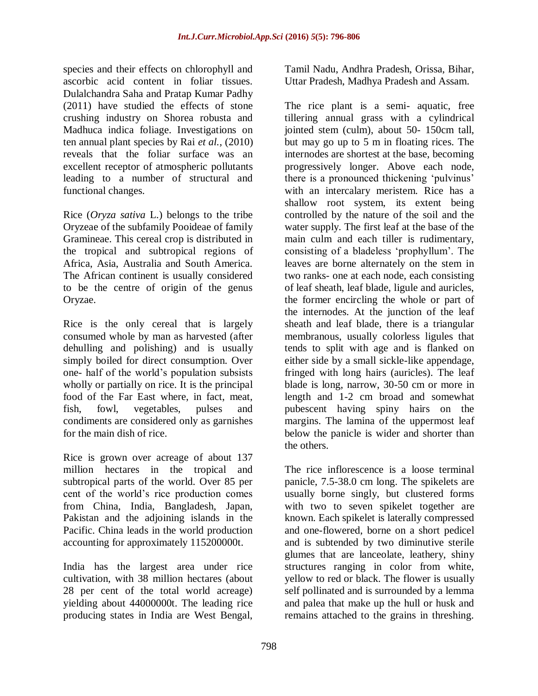species and their effects on chlorophyll and ascorbic acid content in foliar tissues. Dulalchandra Saha and Pratap Kumar Padhy (2011) have studied the effects of stone crushing industry on Shorea robusta and Madhuca indica foliage. Investigations on ten annual plant species by Rai *et al.,* (2010) reveals that the foliar surface was an excellent receptor of atmospheric pollutants leading to a number of structural and functional changes.

Rice (*Oryza sativa* L.) belongs to the tribe Oryzeae of the subfamily Pooideae of family Gramineae. This cereal crop is distributed in the tropical and subtropical regions of Africa, Asia, Australia and South America. The African continent is usually considered to be the centre of origin of the genus Oryzae.

Rice is the only cereal that is largely consumed whole by man as harvested (after dehulling and polishing) and is usually simply boiled for direct consumption. Over one- half of the world"s population subsists wholly or partially on rice. It is the principal food of the Far East where, in fact, meat, fish, fowl, vegetables, pulses and condiments are considered only as garnishes for the main dish of rice.

Rice is grown over acreage of about 137 million hectares in the tropical and subtropical parts of the world. Over 85 per cent of the world"s rice production comes from China, India, Bangladesh, Japan, Pakistan and the adjoining islands in the Pacific. China leads in the world production accounting for approximately 115200000t.

India has the largest area under rice cultivation, with 38 million hectares (about 28 per cent of the total world acreage) yielding about 44000000t. The leading rice producing states in India are West Bengal, Tamil Nadu, Andhra Pradesh, Orissa, Bihar, Uttar Pradesh, Madhya Pradesh and Assam.

The rice plant is a semi- aquatic, free tillering annual grass with a cylindrical jointed stem (culm), about 50- 150cm tall, but may go up to 5 m in floating rices. The internodes are shortest at the base, becoming progressively longer. Above each node, there is a pronounced thickening "pulvinus" with an intercalary meristem. Rice has a shallow root system, its extent being controlled by the nature of the soil and the water supply. The first leaf at the base of the main culm and each tiller is rudimentary, consisting of a bladeless "prophyllum". The leaves are borne alternately on the stem in two ranks- one at each node, each consisting of leaf sheath, leaf blade, ligule and auricles, the former encircling the whole or part of the internodes. At the junction of the leaf sheath and leaf blade, there is a triangular membranous, usually colorless ligules that tends to split with age and is flanked on either side by a small sickle-like appendage, fringed with long hairs (auricles). The leaf blade is long, narrow, 30-50 cm or more in length and 1-2 cm broad and somewhat pubescent having spiny hairs on the margins. The lamina of the uppermost leaf below the panicle is wider and shorter than the others.

The rice inflorescence is a loose terminal panicle, 7.5-38.0 cm long. The spikelets are usually borne singly, but clustered forms with two to seven spikelet together are known. Each spikelet is laterally compressed and one-flowered, borne on a short pedicel and is subtended by two diminutive sterile glumes that are lanceolate, leathery, shiny structures ranging in color from white, yellow to red or black. The flower is usually self pollinated and is surrounded by a lemma and palea that make up the hull or husk and remains attached to the grains in threshing.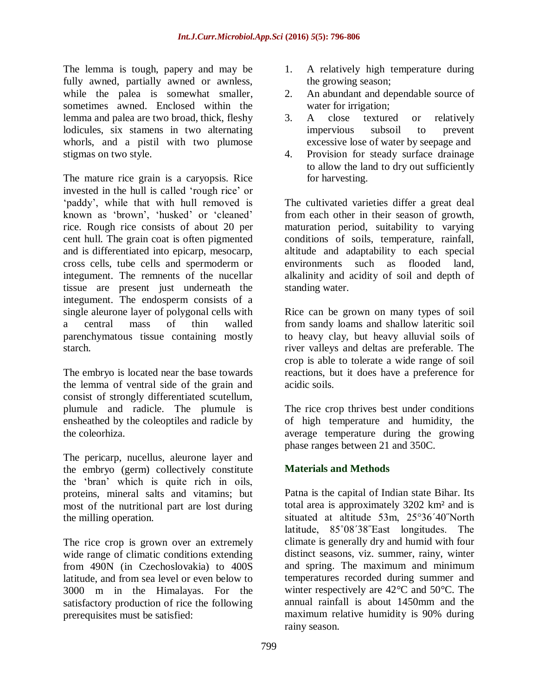The lemma is tough, papery and may be fully awned, partially awned or awnless, while the palea is somewhat smaller, sometimes awned. Enclosed within the lemma and palea are two broad, thick, fleshy lodicules, six stamens in two alternating whorls, and a pistil with two plumose stigmas on two style.

The mature rice grain is a caryopsis. Rice invested in the hull is called "rough rice" or 'paddy', while that with hull removed is known as 'brown', 'husked' or 'cleaned' rice. Rough rice consists of about 20 per cent hull. The grain coat is often pigmented and is differentiated into epicarp, mesocarp, cross cells, tube cells and spermoderm or integument. The remnents of the nucellar tissue are present just underneath the integument. The endosperm consists of a single aleurone layer of polygonal cells with a central mass of thin walled parenchymatous tissue containing mostly starch.

The embryo is located near the base towards the lemma of ventral side of the grain and consist of strongly differentiated scutellum, plumule and radicle. The plumule is ensheathed by the coleoptiles and radicle by the coleorhiza.

The pericarp, nucellus, aleurone layer and the embryo (germ) collectively constitute the "bran" which is quite rich in oils, proteins, mineral salts and vitamins; but most of the nutritional part are lost during the milling operation.

The rice crop is grown over an extremely wide range of climatic conditions extending from 490N (in Czechoslovakia) to 400S latitude, and from sea level or even below to 3000 m in the Himalayas. For the satisfactory production of rice the following prerequisites must be satisfied:

- 1. A relatively high temperature during the growing season;
- 2. An abundant and dependable source of water for irrigation;
- 3. A close textured or relatively impervious subsoil to prevent excessive lose of water by seepage and
- 4. Provision for steady surface drainage to allow the land to dry out sufficiently for harvesting.

The cultivated varieties differ a great deal from each other in their season of growth, maturation period, suitability to varying conditions of soils, temperature, rainfall, altitude and adaptability to each special environments such as flooded land, alkalinity and acidity of soil and depth of standing water.

Rice can be grown on many types of soil from sandy loams and shallow lateritic soil to heavy clay, but heavy alluvial soils of river valleys and deltas are preferable. The crop is able to tolerate a wide range of soil reactions, but it does have a preference for acidic soils.

The rice crop thrives best under conditions of high temperature and humidity, the average temperature during the growing phase ranges between 21 and 350C.

# **Materials and Methods**

Patna is the capital of Indian state Bihar. Its total area is approximately 3202 km² and is situated at altitude 53m, 25°36΄40˝North latitude, 85˚08΄38˝East longitudes. The climate is generally dry and humid with four distinct seasons, viz. summer, rainy, winter and spring. The maximum and minimum temperatures recorded during summer and winter respectively are 42°C and 50°C. The annual rainfall is about 1450mm and the maximum relative humidity is 90% during rainy season.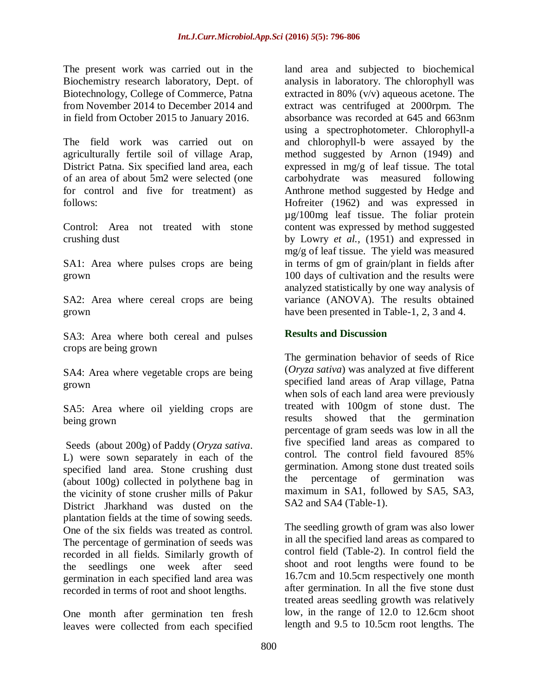The present work was carried out in the Biochemistry research laboratory, Dept. of Biotechnology, College of Commerce, Patna from November 2014 to December 2014 and in field from October 2015 to January 2016.

The field work was carried out on agriculturally fertile soil of village Arap, District Patna. Six specified land area, each of an area of about 5m2 were selected (one for control and five for treatment) as follows:

Control: Area not treated with stone crushing dust

SA1: Area where pulses crops are being grown

SA2: Area where cereal crops are being grown

SA3: Area where both cereal and pulses crops are being grown

SA4: Area where vegetable crops are being grown

SA5: Area where oil yielding crops are being grown

Seeds (about 200g) of Paddy (*Oryza sativa*. L) were sown separately in each of the specified land area. Stone crushing dust (about 100g) collected in polythene bag in the vicinity of stone crusher mills of Pakur District Jharkhand was dusted on the plantation fields at the time of sowing seeds. One of the six fields was treated as control. The percentage of germination of seeds was recorded in all fields. Similarly growth of the seedlings one week after seed germination in each specified land area was recorded in terms of root and shoot lengths.

One month after germination ten fresh leaves were collected from each specified

land area and subjected to biochemical analysis in laboratory. The chlorophyll was extracted in 80% (v/v) aqueous acetone. The extract was centrifuged at 2000rpm. The absorbance was recorded at 645 and 663nm using a spectrophotometer. Chlorophyll-a and chlorophyll-b were assayed by the method suggested by Arnon (1949) and expressed in mg/g of leaf tissue. The total carbohydrate was measured following Anthrone method suggested by Hedge and Hofreiter (1962) and was expressed in µg/100mg leaf tissue. The foliar protein content was expressed by method suggested by Lowry *et al.,* (1951) and expressed in mg/g of leaf tissue. The yield was measured in terms of gm of grain/plant in fields after 100 days of cultivation and the results were analyzed statistically by one way analysis of variance (ANOVA). The results obtained have been presented in Table-1, 2, 3 and 4.

## **Results and Discussion**

The germination behavior of seeds of Rice (*Oryza sativa*) was analyzed at five different specified land areas of Arap village, Patna when sols of each land area were previously treated with 100gm of stone dust. The results showed that the germination percentage of gram seeds was low in all the five specified land areas as compared to control. The control field favoured 85% germination. Among stone dust treated soils the percentage of germination was maximum in SA1, followed by SA5, SA3, SA2 and SA4 (Table-1).

The seedling growth of gram was also lower in all the specified land areas as compared to control field (Table-2). In control field the shoot and root lengths were found to be 16.7cm and 10.5cm respectively one month after germination. In all the five stone dust treated areas seedling growth was relatively low, in the range of 12.0 to 12.6cm shoot length and 9.5 to 10.5cm root lengths. The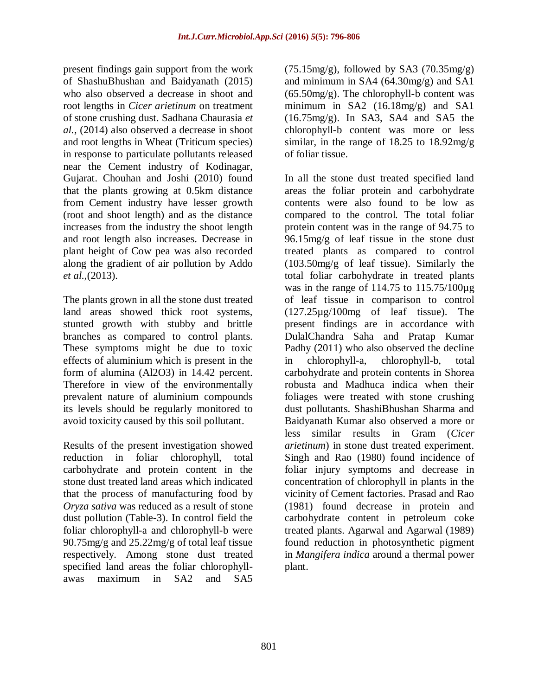present findings gain support from the work of ShashuBhushan and Baidyanath (2015) who also observed a decrease in shoot and root lengths in *Cicer arietinum* on treatment of stone crushing dust. Sadhana Chaurasia *et al.,* (2014) also observed a decrease in shoot and root lengths in Wheat (Triticum species) in response to particulate pollutants released near the Cement industry of Kodinagar, Gujarat. Chouhan and Joshi (2010) found that the plants growing at 0.5km distance from Cement industry have lesser growth (root and shoot length) and as the distance increases from the industry the shoot length and root length also increases. Decrease in plant height of Cow pea was also recorded along the gradient of air pollution by Addo *et al.,*(2013).

The plants grown in all the stone dust treated land areas showed thick root systems, stunted growth with stubby and brittle branches as compared to control plants. These symptoms might be due to toxic effects of aluminium which is present in the form of alumina (Al2O3) in 14.42 percent. Therefore in view of the environmentally prevalent nature of aluminium compounds its levels should be regularly monitored to avoid toxicity caused by this soil pollutant.

Results of the present investigation showed reduction in foliar chlorophyll, total carbohydrate and protein content in the stone dust treated land areas which indicated that the process of manufacturing food by *Oryza sativa* was reduced as a result of stone dust pollution (Table-3). In control field the foliar chlorophyll-a and chlorophyll-b were 90.75mg/g and 25.22mg/g of total leaf tissue respectively. Among stone dust treated specified land areas the foliar chlorophyllawas maximum in SA2 and SA5

 $(75.15 \text{mg/g})$ , followed by SA3  $(70.35 \text{mg/g})$ and minimum in SA4 (64.30mg/g) and SA1  $(65.50mg/g)$ . The chlorophyll-b content was minimum in SA2 (16.18mg/g) and SA1  $(16.75 \text{mg/g})$ . In SA3, SA4 and SA5 the chlorophyll-b content was more or less similar, in the range of  $18.25$  to  $18.92$ mg/g of foliar tissue.

In all the stone dust treated specified land areas the foliar protein and carbohydrate contents were also found to be low as compared to the control. The total foliar protein content was in the range of 94.75 to 96.15mg/g of leaf tissue in the stone dust treated plants as compared to control (103.50mg/g of leaf tissue). Similarly the total foliar carbohydrate in treated plants was in the range of 114.75 to 115.75/100µg of leaf tissue in comparison to control (127.25µg/100mg of leaf tissue). The present findings are in accordance with DulalChandra Saha and Pratap Kumar Padhy (2011) who also observed the decline in chlorophyll-a, chlorophyll-b, total carbohydrate and protein contents in Shorea robusta and Madhuca indica when their foliages were treated with stone crushing dust pollutants. ShashiBhushan Sharma and Baidyanath Kumar also observed a more or less similar results in Gram (*Cicer arietinum*) in stone dust treated experiment. Singh and Rao (1980) found incidence of foliar injury symptoms and decrease in concentration of chlorophyll in plants in the vicinity of Cement factories. Prasad and Rao (1981) found decrease in protein and carbohydrate content in petroleum coke treated plants. Agarwal and Agarwal (1989) found reduction in photosynthetic pigment in *Mangifera indica* around a thermal power plant.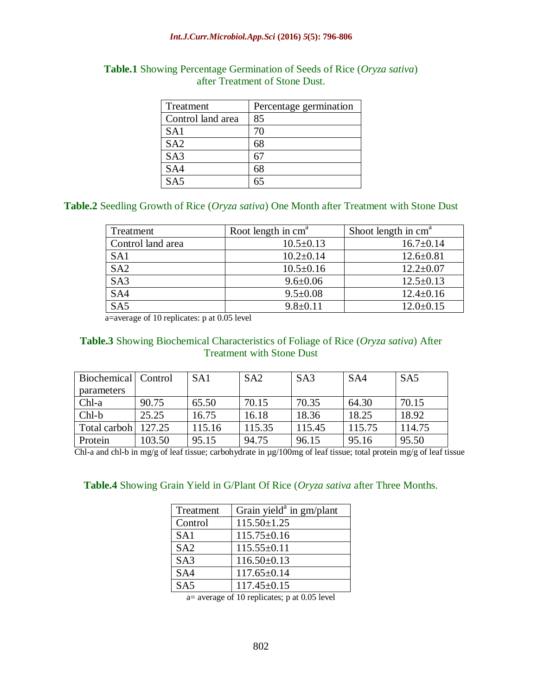#### *Int.J.Curr.Microbiol.App.Sci* **(2016)** *5***(5): 796-806**

| Treatment         | Percentage germination |
|-------------------|------------------------|
| Control land area | 85                     |
| SA1               | 70                     |
| SA <sub>2</sub>   | 68                     |
| SA <sub>3</sub>   |                        |
| SA <sub>4</sub>   | 68                     |
| SAS               |                        |

## **Table.1** Showing Percentage Germination of Seeds of Rice (*Oryza sativa*) after Treatment of Stone Dust.

# **Table.2** Seedling Growth of Rice (*Oryza sativa*) One Month after Treatment with Stone Dust

| Treatment         | Root length in $cma$ | Shoot length in $cma$ |  |
|-------------------|----------------------|-----------------------|--|
| Control land area | $10.5 \pm 0.13$      | $16.7 \pm 0.14$       |  |
| SA <sub>1</sub>   | $10.2 \pm 0.14$      | $12.6 \pm 0.81$       |  |
| SA2               | $10.5 \pm 0.16$      | $12.2 \pm 0.07$       |  |
| SA <sub>3</sub>   | $9.6 \pm 0.06$       | $12.5 \pm 0.13$       |  |
| SA4               | $9.5 \pm 0.08$       | $12.4 \pm 0.16$       |  |
| SA <sub>5</sub>   | $9.8 \pm 0.11$       | $12.0 \pm 0.15$       |  |

a=average of 10 replicates: p at 0.05 level

## **Table.3** Showing Biochemical Characteristics of Foliage of Rice (*Oryza sativa*) After Treatment with Stone Dust

| Biochemical   Control |        | SA <sub>1</sub> | SA2    | SA <sub>3</sub> | SA4    | SA <sub>5</sub> |
|-----------------------|--------|-----------------|--------|-----------------|--------|-----------------|
| <i>n</i> parameters   |        |                 |        |                 |        |                 |
| $Chl-a$               | 90.75  | 65.50           | 70.15  | 70.35           | 64.30  | 70.15           |
| $Chl-b$               | 25.25  | 16.75           | 16.18  | 18.36           | 18.25  | 18.92           |
| Total carboh          | 127.25 | 115.16          | 115.35 | 115.45          | 115.75 | 114.75          |
| Protein               | 103.50 | 95.15           | 94.75  | 96.15           | 95.16  | 95.50           |

Chl-a and chl-b in mg/g of leaf tissue; carbohydrate in µg/100mg of leaf tissue; total protein mg/g of leaf tissue

## **Table.4** Showing Grain Yield in G/Plant Of Rice (*Oryza sativa* after Three Months.

| Treatment       | Grain yield $a$ in gm/plant |
|-----------------|-----------------------------|
| Control         | $115.50 \pm 1.25$           |
| SA1             | $115.75 \pm 0.16$           |
| SA <sub>2</sub> | $115.55 \pm 0.11$           |
| SA <sub>3</sub> | $116.50\pm0.13$             |
| SA <sub>4</sub> | $117.65 \pm 0.14$           |
| SA <sub>5</sub> | $117.45 \pm 0.15$           |

a= average of 10 replicates; p at 0.05 level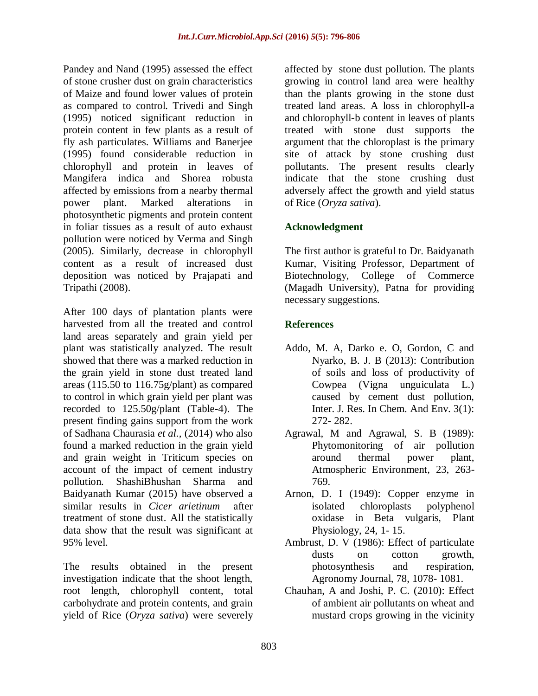Pandey and Nand (1995) assessed the effect of stone crusher dust on grain characteristics of Maize and found lower values of protein as compared to control. Trivedi and Singh (1995) noticed significant reduction in protein content in few plants as a result of fly ash particulates. Williams and Banerjee (1995) found considerable reduction in chlorophyll and protein in leaves of Mangifera indica and Shorea robusta affected by emissions from a nearby thermal power plant. Marked alterations in photosynthetic pigments and protein content in foliar tissues as a result of auto exhaust pollution were noticed by Verma and Singh (2005). Similarly, decrease in chlorophyll content as a result of increased dust deposition was noticed by Prajapati and Tripathi (2008).

After 100 days of plantation plants were harvested from all the treated and control land areas separately and grain yield per plant was statistically analyzed. The result showed that there was a marked reduction in the grain yield in stone dust treated land areas (115.50 to 116.75g/plant) as compared to control in which grain yield per plant was recorded to 125.50g/plant (Table-4). The present finding gains support from the work of Sadhana Chaurasia *et al.,* (2014) who also found a marked reduction in the grain yield and grain weight in Triticum species on account of the impact of cement industry pollution. ShashiBhushan Sharma and Baidyanath Kumar (2015) have observed a similar results in *Cicer arietinum* after treatment of stone dust. All the statistically data show that the result was significant at 95% level.

The results obtained in the present investigation indicate that the shoot length, root length, chlorophyll content, total carbohydrate and protein contents, and grain yield of Rice (*Oryza sativa*) were severely

affected by stone dust pollution. The plants growing in control land area were healthy than the plants growing in the stone dust treated land areas. A loss in chlorophyll-a and chlorophyll-b content in leaves of plants treated with stone dust supports the argument that the chloroplast is the primary site of attack by stone crushing dust pollutants. The present results clearly indicate that the stone crushing dust adversely affect the growth and yield status of Rice (*Oryza sativa*).

# **Acknowledgment**

The first author is grateful to Dr. Baidyanath Kumar, Visiting Professor, Department of Biotechnology, College of Commerce (Magadh University), Patna for providing necessary suggestions.

# **References**

- Addo, M. A, Darko e. O, Gordon, C and Nyarko, B. J. B (2013): Contribution of soils and loss of productivity of Cowpea (Vigna unguiculata L.) caused by cement dust pollution, Inter. J. Res. In Chem. And Env. 3(1): 272- 282.
- Agrawal, M and Agrawal, S. B (1989): Phytomonitoring of air pollution around thermal power plant, Atmospheric Environment, 23, 263- 769.
- Arnon, D. I (1949): Copper enzyme in isolated chloroplasts polyphenol oxidase in Beta vulgaris, Plant Physiology, 24, 1- 15.
- Ambrust, D. V (1986): Effect of particulate dusts on cotton growth, photosynthesis and respiration, Agronomy Journal, 78, 1078- 1081.
- Chauhan, A and Joshi, P. C. (2010): Effect of ambient air pollutants on wheat and mustard crops growing in the vicinity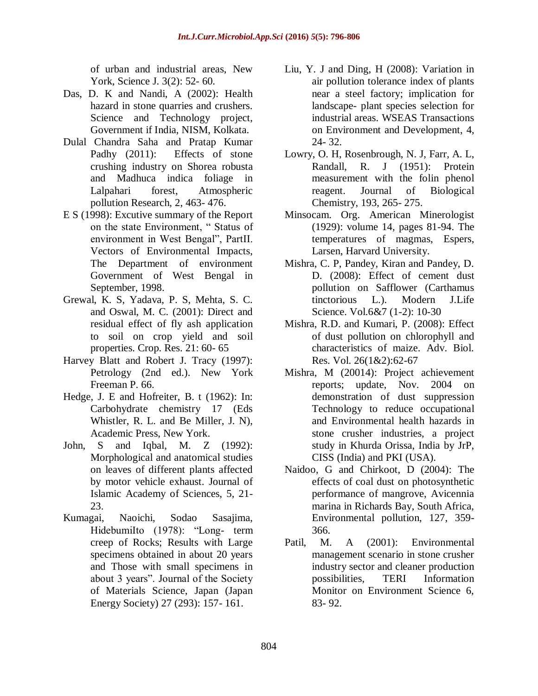of urban and industrial areas, New York, Science J. 3(2): 52- 60.

- Das, D. K and Nandi, A (2002): Health hazard in stone quarries and crushers. Science and Technology project, Government if India, NISM, Kolkata.
- Dulal Chandra Saha and Pratap Kumar Padhy (2011): Effects of stone crushing industry on Shorea robusta and Madhuca indica foliage in Lalpahari forest, Atmospheric pollution Research, 2, 463- 476.
- E S (1998): Excutive summary of the Report on the state Environment, " Status of environment in West Bengal", PartII. Vectors of Environmental Impacts, The Department of environment Government of West Bengal in September, 1998.
- Grewal, K. S, Yadava, P. S, Mehta, S. C. and Oswal, M. C. (2001): Direct and residual effect of fly ash application to soil on crop yield and soil properties. Crop. Res. 21: 60- 65
- Harvey Blatt and Robert J. Tracy (1997): Petrology (2nd ed.). New York Freeman P. 66.
- Hedge, J. E and Hofreiter, B. t (1962): In: Carbohydrate chemistry 17 (Eds Whistler, R. L. and Be Miller, J. N), Academic Press, New York.
- John, S and Iqbal, M. Z (1992): Morphological and anatomical studies on leaves of different plants affected by motor vehicle exhaust. Journal of Islamic Academy of Sciences, 5, 21- 23.
- Kumagai, Naoichi, Sodao Sasajima, HidebumiIto (1978): "Long- term creep of Rocks; Results with Large specimens obtained in about 20 years and Those with small specimens in about 3 years". Journal of the Society of Materials Science, Japan (Japan Energy Society) 27 (293): 157- 161.
- Liu, Y. J and Ding, H (2008): Variation in air pollution tolerance index of plants near a steel factory; implication for landscape- plant species selection for industrial areas. WSEAS Transactions on Environment and Development, 4, 24- 32.
- Lowry, O. H, Rosenbrough, N. J, Farr, A. L, Randall, R. J (1951): Protein measurement with the folin phenol reagent. Journal of Biological Chemistry, 193, 265- 275.
- Minsocam. Org. American Minerologist (1929): volume 14, pages 81-94. The temperatures of magmas, Espers, Larsen, Harvard University.
- Mishra, C. P, Pandey, Kiran and Pandey, D. D. (2008): Effect of cement dust pollution on Safflower (Carthamus tinctorious L.). Modern J.Life Science. Vol.6&7 (1-2): 10-30
- Mishra, R.D. and Kumari, P. (2008): Effect of dust pollution on chlorophyll and characteristics of maize. Adv. Biol. Res. Vol. 26(1&2):62-67
- Mishra, M (20014): Project achievement reports; update, Nov. 2004 on demonstration of dust suppression Technology to reduce occupational and Environmental health hazards in stone crusher industries, a project study in Khurda Orissa, India by JrP, CISS (India) and PKI (USA).
- Naidoo, G and Chirkoot, D (2004): The effects of coal dust on photosynthetic performance of mangrove, Avicennia marina in Richards Bay, South Africa, Environmental pollution, 127, 359- 366.
- Patil, M. A (2001): Environmental management scenario in stone crusher industry sector and cleaner production possibilities, TERI Information Monitor on Environment Science 6, 83- 92.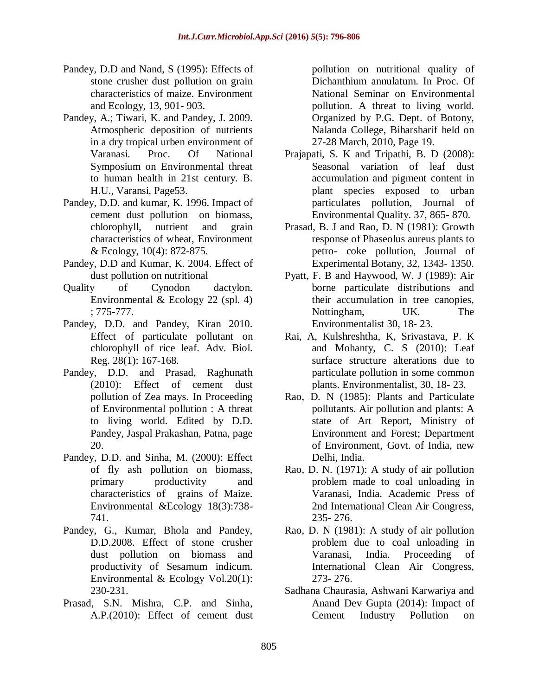- Pandey, D.D and Nand, S (1995): Effects of stone crusher dust pollution on grain characteristics of maize. Environment and Ecology, 13, 901- 903.
- Pandey, A.; Tiwari, K. and Pandey, J. 2009. Atmospheric deposition of nutrients in a dry tropical urben environment of Varanasi. Proc. Of National Symposium on Environmental threat to human health in 21st century. B. H.U., Varansi, Page53.
- Pandey, D.D. and kumar, K. 1996. Impact of cement dust pollution on biomass, chlorophyll, nutrient and grain characteristics of wheat, Environment & Ecology, 10(4): 872-875.
- Pandey, D.D and Kumar, K. 2004. Effect of dust pollution on nutritional
- Quality of Cynodon dactylon. Environmental & Ecology 22 (spl. 4) ; 775-777.
- Pandey, D.D. and Pandey, Kiran 2010. Effect of particulate pollutant on chlorophyll of rice leaf. Adv. Biol. Reg. 28(1): 167-168.
- Pandey, D.D. and Prasad, Raghunath (2010): Effect of cement dust pollution of Zea mays. In Proceeding of Environmental pollution : A threat to living world. Edited by D.D. Pandey, Jaspal Prakashan, Patna, page 20.
- Pandey, D.D. and Sinha, M. (2000): Effect of fly ash pollution on biomass, primary productivity and characteristics of grains of Maize. Environmental &Ecology 18(3):738- 741.
- Pandey, G., Kumar, Bhola and Pandey, D.D.2008. Effect of stone crusher dust pollution on biomass and productivity of Sesamum indicum. Environmental & Ecology Vol.20(1): 230-231.
- Prasad, S.N. Mishra, C.P. and Sinha, A.P.(2010): Effect of cement dust

pollution on nutritional quality of Dichanthium annulatum. In Proc. Of National Seminar on Environmental pollution. A threat to living world. Organized by P.G. Dept. of Botony, Nalanda College, Biharsharif held on 27-28 March, 2010, Page 19.

- Prajapati, S. K and Tripathi, B. D (2008): Seasonal variation of leaf dust accumulation and pigment content in plant species exposed to urban particulates pollution, Journal of Environmental Quality. 37, 865- 870.
- Prasad, B. J and Rao, D. N (1981): Growth response of Phaseolus aureus plants to petro- coke pollution, Journal of Experimental Botany, 32, 1343- 1350.
- Pyatt, F. B and Haywood, W. J (1989): Air borne particulate distributions and their accumulation in tree canopies, Nottingham, UK. The Environmentalist 30, 18- 23.
- Rai, A, Kulshreshtha, K, Srivastava, P. K and Mohanty, C. S (2010): Leaf surface structure alterations due to particulate pollution in some common plants. Environmentalist, 30, 18- 23.
- Rao, D. N (1985): Plants and Particulate pollutants. Air pollution and plants: A state of Art Report, Ministry of Environment and Forest; Department of Environment, Govt. of India, new Delhi, India.
- Rao, D. N. (1971): A study of air pollution problem made to coal unloading in Varanasi, India. Academic Press of 2nd International Clean Air Congress, 235- 276.
- Rao, D. N (1981): A study of air pollution problem due to coal unloading in Varanasi, India. Proceeding of International Clean Air Congress, 273- 276.
- Sadhana Chaurasia, Ashwani Karwariya and Anand Dev Gupta (2014): Impact of Cement Industry Pollution on